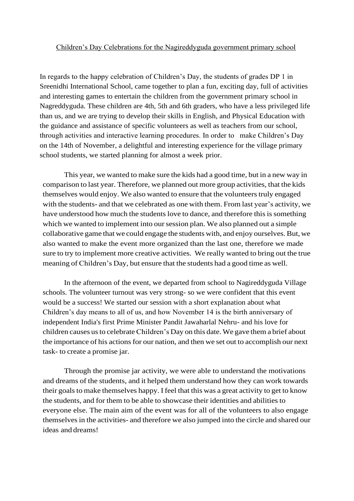## Children's Day Celebrations for the Nagireddyguda government primary school

In regards to the happy celebration of Children's Day, the students of grades DP 1 in Sreenidhi International School, came together to plan a fun, exciting day, full of activities and interesting games to entertain the children from the government primary school in Nagreddyguda. These children are 4th, 5th and 6th graders, who have a less privileged life than us, and we are trying to develop their skills in English, and Physical Education with the guidance and assistance of specific volunteers as well as teachers from our school, through activities and interactive learning procedures. In order to make Children's Day on the 14th of November, a delightful and interesting experience for the village primary school students, we started planning for almost a week prior.

This year, we wanted to make sure the kids had a good time, but in a new way in comparison to last year. Therefore, we planned out more group activities, that the kids themselves would enjoy. We also wanted to ensure that the volunteers truly engaged with the students- and that we celebrated as one with them. From last year's activity, we have understood how much the students love to dance, and therefore this is something which we wanted to implement into our session plan. We also planned out a simple collaborative game that we could engage the students with, and enjoy ourselves.But, we also wanted to make the event more organized than the last one, therefore we made sure to try to implement more creative activities. We really wanted to bring out the true meaning of Children's Day, but ensure that the students had a good time as well.

In the afternoon of the event, we departed from school to Nagireddyguda Village schools. The volunteer turnout was very strong- so we were confident that this event would be a success! We started our session with a short explanation about what Children's day means to all of us, and how November 14 is the birth anniversary of independent India's first Prime Minister Pandit Jawaharlal Nehru- and his love for children causes us to celebrate Children's Day on this date. We gave them a brief about the importance of his actions for our nation, and then we set out to accomplish our next task- to create a promise jar.

Through the promise jar activity, we were able to understand the motivations and dreams of the students, and it helped them understand how they can work towards their goals to make themselves happy. I feel that this was a great activity to get to know the students, and for them to be able to showcase their identities and abilities to everyone else. The main aim of the event was for all of the volunteers to also engage themselvesin the activities- and therefore we also jumped into the circle and shared our ideas and dreams!